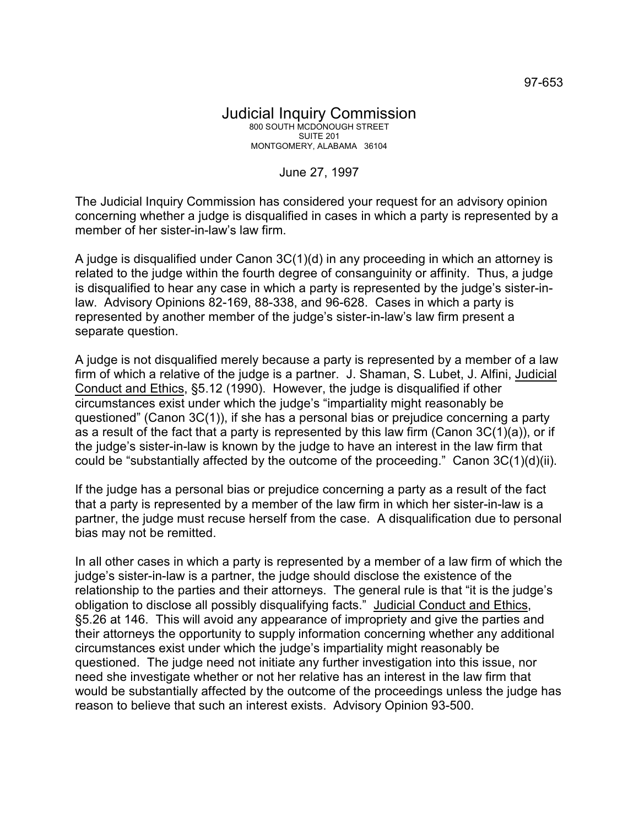## Judicial Inquiry Commission 800 SOUTH MCDONOUGH STREET SUITE 201 MONTGOMERY, ALABAMA 36104

## June 27, 1997

The Judicial Inquiry Commission has considered your request for an advisory opinion concerning whether a judge is disqualified in cases in which a party is represented by a member of her sister-in-law's law firm.

A judge is disqualified under Canon 3C(1)(d) in any proceeding in which an attorney is related to the judge within the fourth degree of consanguinity or affinity. Thus, a judge is disqualified to hear any case in which a party is represented by the judge's sister-inlaw. Advisory Opinions 82-169, 88-338, and 96-628. Cases in which a party is represented by another member of the judge's sister-in-law's law firm present a separate question.

A judge is not disqualified merely because a party is represented by a member of a law firm of which a relative of the judge is a partner. J. Shaman, S. Lubet, J. Alfini, Judicial Conduct and Ethics, §5.12 (1990). However, the judge is disqualified if other circumstances exist under which the judge's "impartiality might reasonably be questioned" (Canon 3C(1)), if she has a personal bias or prejudice concerning a party as a result of the fact that a party is represented by this law firm (Canon 3C(1)(a)), or if the judge's sister-in-law is known by the judge to have an interest in the law firm that could be "substantially affected by the outcome of the proceeding." Canon 3C(1)(d)(ii).

If the judge has a personal bias or prejudice concerning a party as a result of the fact that a party is represented by a member of the law firm in which her sister-in-law is a partner, the judge must recuse herself from the case. A disqualification due to personal bias may not be remitted.

In all other cases in which a party is represented by a member of a law firm of which the judge's sister-in-law is a partner, the judge should disclose the existence of the relationship to the parties and their attorneys. The general rule is that "it is the judge's obligation to disclose all possibly disqualifying facts." Judicial Conduct and Ethics, §5.26 at 146. This will avoid any appearance of impropriety and give the parties and their attorneys the opportunity to supply information concerning whether any additional circumstances exist under which the judge's impartiality might reasonably be questioned. The judge need not initiate any further investigation into this issue, nor need she investigate whether or not her relative has an interest in the law firm that would be substantially affected by the outcome of the proceedings unless the judge has reason to believe that such an interest exists. Advisory Opinion 93-500.